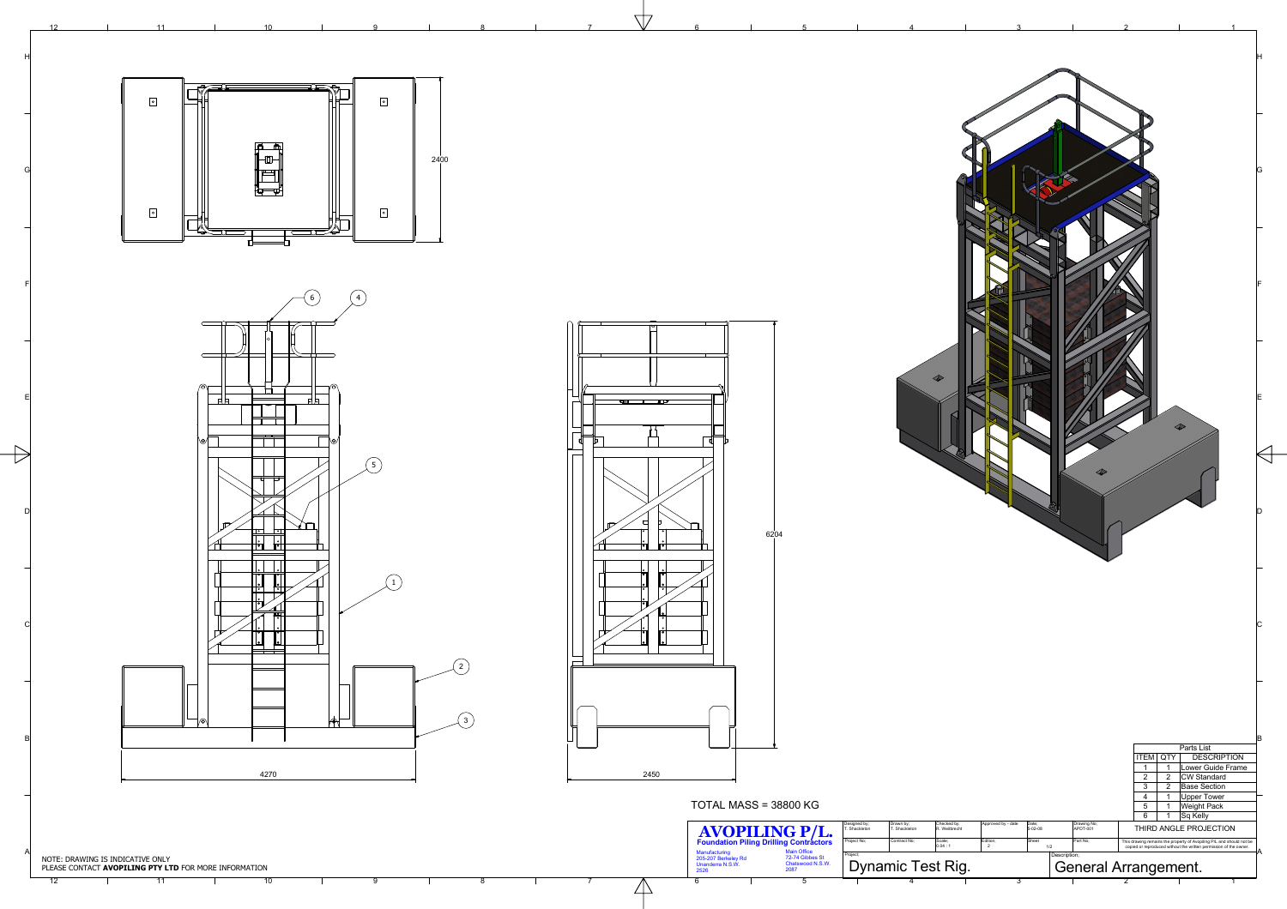5

6

7

**NT7** 

8

9

 $\Box$ 



|                               |                            |                                                |                                              |                          |                                            |                                                                                                                                        | G        |
|-------------------------------|----------------------------|------------------------------------------------|----------------------------------------------|--------------------------|--------------------------------------------|----------------------------------------------------------------------------------------------------------------------------------------|----------|
|                               |                            |                                                |                                              |                          |                                            |                                                                                                                                        |          |
|                               |                            |                                                |                                              |                          |                                            |                                                                                                                                        |          |
|                               |                            |                                                |                                              |                          |                                            |                                                                                                                                        |          |
|                               |                            |                                                |                                              |                          |                                            |                                                                                                                                        |          |
|                               |                            |                                                |                                              |                          |                                            |                                                                                                                                        | F        |
|                               |                            |                                                |                                              |                          |                                            |                                                                                                                                        |          |
|                               |                            |                                                |                                              |                          |                                            |                                                                                                                                        |          |
|                               |                            |                                                |                                              |                          |                                            |                                                                                                                                        |          |
|                               |                            |                                                |                                              |                          |                                            |                                                                                                                                        |          |
|                               |                            |                                                |                                              |                          |                                            |                                                                                                                                        | Е        |
|                               |                            |                                                |                                              |                          |                                            |                                                                                                                                        |          |
|                               |                            |                                                |                                              |                          |                                            |                                                                                                                                        |          |
|                               |                            |                                                |                                              |                          |                                            |                                                                                                                                        |          |
|                               |                            |                                                |                                              |                          |                                            |                                                                                                                                        |          |
|                               |                            |                                                |                                              |                          |                                            |                                                                                                                                        |          |
|                               |                            |                                                |                                              |                          |                                            |                                                                                                                                        |          |
|                               |                            |                                                |                                              |                          |                                            |                                                                                                                                        |          |
|                               |                            |                                                |                                              |                          |                                            |                                                                                                                                        |          |
|                               |                            |                                                |                                              |                          |                                            |                                                                                                                                        |          |
|                               |                            |                                                |                                              |                          |                                            |                                                                                                                                        |          |
|                               |                            |                                                |                                              |                          |                                            |                                                                                                                                        |          |
|                               |                            |                                                |                                              |                          |                                            |                                                                                                                                        |          |
|                               |                            |                                                |                                              |                          |                                            |                                                                                                                                        |          |
|                               |                            |                                                |                                              |                          |                                            |                                                                                                                                        |          |
|                               |                            |                                                |                                              |                          |                                            |                                                                                                                                        | <b>B</b> |
|                               |                            |                                                |                                              |                          | <b>ITEM</b><br>QTY<br>$\mathbf 1$<br>1     | Parts List<br><b>DESCRIPTION</b><br>Lower Guide Frame                                                                                  |          |
|                               |                            |                                                |                                              |                          | $\overline{2}$<br>2<br>3<br>$\overline{2}$ | <b>CW Standard</b><br><b>Base Section</b>                                                                                              |          |
|                               |                            |                                                |                                              |                          | 4<br>$\mathbf 1$<br>5<br>1                 | <b>Upper Tower</b><br><b>Weight Pack</b>                                                                                               |          |
| Designed by;<br>T. Shackleton | Drawn by;<br>T. Shackleton | Checked by;<br>R. Weitbrecht                   | Approved by - date<br>Date;<br>$5 - 02 - 08$ | Drawing No;<br>APDT-001  | 6<br>1                                     | $\operatorname{\mathsf{Sq}}\nolimits$ Kelly<br>THIRD ANGLE PROJECTION                                                                  |          |
| Project No;<br>Project;       | Contract No;               | Scale;<br>Edition;<br>0.04:1<br>$\overline{a}$ | Sheet<br>1/2                                 | Part No;<br>Description; |                                            | This drawing remains the property of Avopiling P/L and should not be copied or reproduced without the written permission of the owner. | IА       |
|                               | <b>Dynamic Test Rig.</b>   |                                                |                                              |                          | <b>General Arrangement.</b>                |                                                                                                                                        |          |
|                               | 4                          |                                                | $\overline{3}$                               |                          | $\mathbf{Z}$                               |                                                                                                                                        |          |







 $\mathbf{1}$ 



## TOTAL MASS <sup>=</sup> 38800 KG